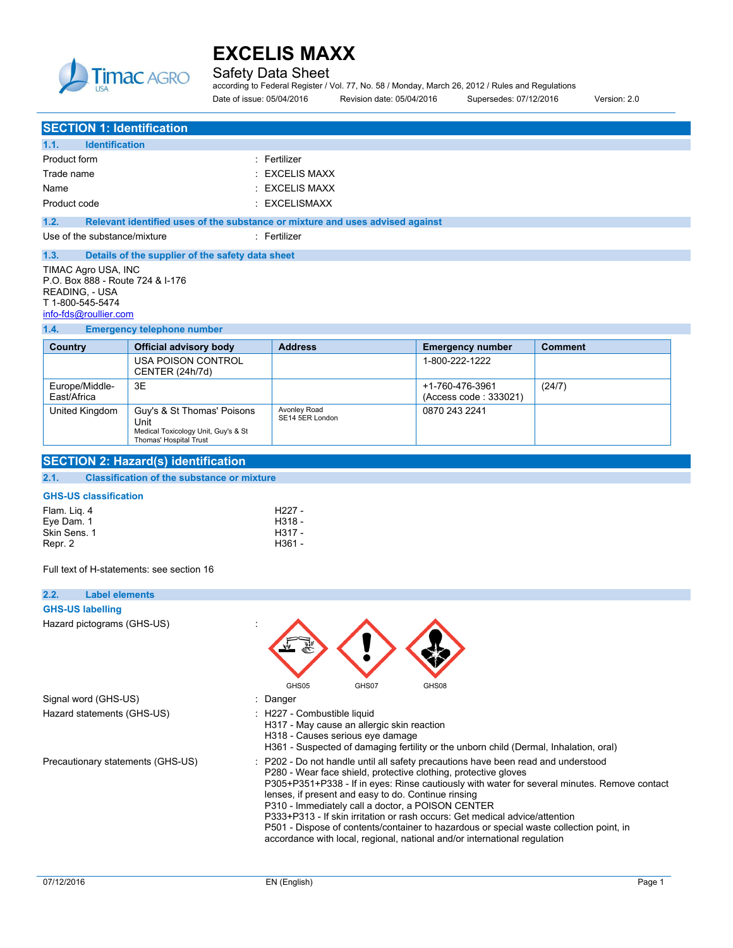

Avonley Road SE14 5ER London

Safety Data Sheet

according to Federal Register / Vol. 77, No. 58 / Monday, March 26, 2012 / Rules and Regulations Date of issue: 05/04/2016 Revision date: 05/04/2016 Supersedes: 07/12/2016 Version: 2.0

0870 243 2241

**SECTION 1: Identification 1.1. Identification** Product form **: Fertilizer** Trade name : EXCELIS MAXX Name : EXCELIS MAXX Product code : EXCELISMAXX **1.2. Relevant identified uses of the substance or mixture and uses advised against** Use of the substance/mixture in the substance in the set of the substance of the substance in the set of the substance of the substance of the substance of the substance of the substance of the substance of the substance o **1.3. Details of the supplier of the safety data sheet** TIMAC Agro USA, INC P.O. Box 888 - Route 724 & I-176 READING, - USA T 1-800-545-5474 [info-fds@roullier.com](mailto:info-fds@roullier.com) **1.4. Emergency telephone number Country Official advisory body Address Emergency number Comment** USA POISON CONTROL CENTER (24h/7d) 1-800-222-1222 Europe/Middle-East/Africa 3E +1-760-476-3961 (Access code : 333021) (24/7)

#### **GHS-US classification**

**SECTION 2: Hazard(s) identification 2.1. Classification of the substance or mixture**

United Kingdom | Guy's & St Thomas' Poisons Unit

| Flam. Lig. 4 | H <sub>227</sub> - |
|--------------|--------------------|
| Eve Dam. 1   | H318 -             |
| Skin Sens, 1 | H317 -             |
| Repr. 2      | H361 -             |

Medical Toxicology Unit, Guy's & St Thomas' Hospital Trust

Full text of H-statements: see section 16

| 2.2.<br><b>Label elements</b>     |                                                                                                                                                                                                                                                                                                                                                                                                                                                                                                                                                                                                                         |
|-----------------------------------|-------------------------------------------------------------------------------------------------------------------------------------------------------------------------------------------------------------------------------------------------------------------------------------------------------------------------------------------------------------------------------------------------------------------------------------------------------------------------------------------------------------------------------------------------------------------------------------------------------------------------|
| <b>GHS-US labelling</b>           |                                                                                                                                                                                                                                                                                                                                                                                                                                                                                                                                                                                                                         |
| Hazard pictograms (GHS-US)        | GHS05<br>GHS08<br>GHS07                                                                                                                                                                                                                                                                                                                                                                                                                                                                                                                                                                                                 |
| Signal word (GHS-US)              | : Danger                                                                                                                                                                                                                                                                                                                                                                                                                                                                                                                                                                                                                |
| Hazard statements (GHS-US)        | : H227 - Combustible liquid<br>H317 - May cause an allergic skin reaction<br>H318 - Causes serious eye damage<br>H361 - Suspected of damaging fertility or the unborn child (Dermal, Inhalation, oral)                                                                                                                                                                                                                                                                                                                                                                                                                  |
| Precautionary statements (GHS-US) | : P202 - Do not handle until all safety precautions have been read and understood<br>P280 - Wear face shield, protective clothing, protective gloves<br>P305+P351+P338 - If in eyes: Rinse cautiously with water for several minutes. Remove contact<br>lenses, if present and easy to do. Continue rinsing<br>P310 - Immediately call a doctor, a POISON CENTER<br>P333+P313 - If skin irritation or rash occurs: Get medical advice/attention<br>P501 - Dispose of contents/container to hazardous or special waste collection point, in<br>accordance with local, regional, national and/or international regulation |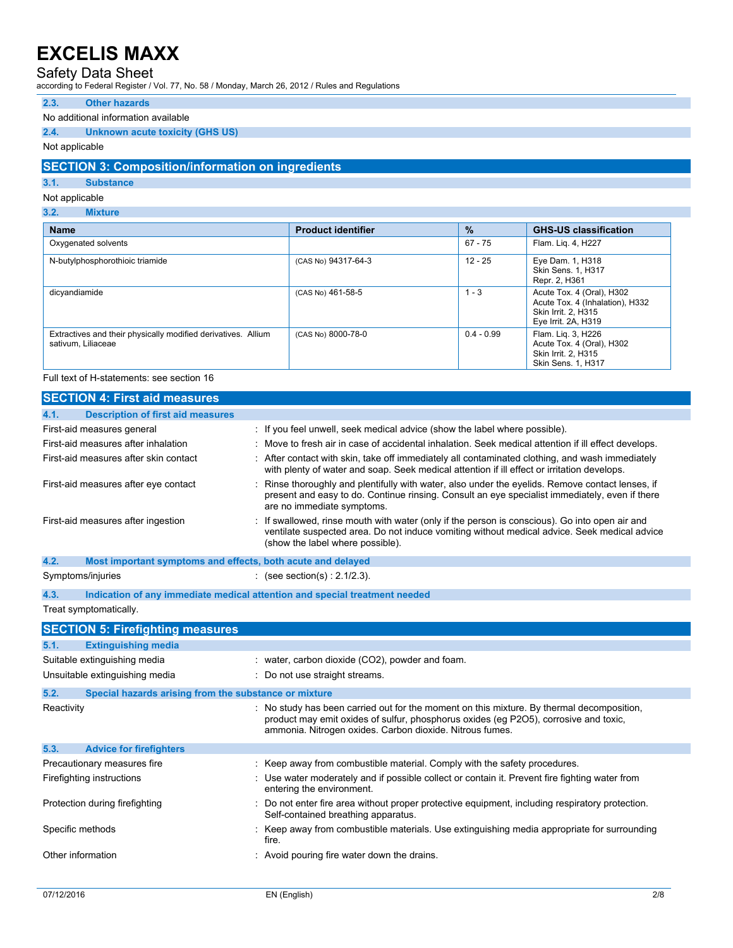## Safety Data Sheet

according to Federal Register / Vol. 77, No. 58 / Monday, March 26, 2012 / Rules and Regulations

#### **2.3. Other hazards**

### No additional information available

### **2.4. Unknown acute toxicity (GHS US)**

### Not applicable

## **SECTION 3: Composition/information on ingredients**

#### **3.1. Substance**

## Not applicable

**3.2. Mixture**

| <b>Name</b>                                                                         | <b>Product identifier</b> | $\frac{9}{6}$ | <b>GHS-US classification</b>                                                                               |
|-------------------------------------------------------------------------------------|---------------------------|---------------|------------------------------------------------------------------------------------------------------------|
| Oxygenated solvents                                                                 |                           | 67 - 75       | Flam. Lig. 4, H227                                                                                         |
| N-butylphosphorothioic triamide                                                     | (CAS No) 94317-64-3       | $12 - 25$     | Eye Dam. 1, H318<br>Skin Sens. 1, H317<br>Repr. 2, H361                                                    |
| dicyandiamide                                                                       | (CAS No) 461-58-5         | $1 - 3$       | Acute Tox. 4 (Oral), H302<br>Acute Tox. 4 (Inhalation), H332<br>Skin Irrit. 2. H315<br>Eye Irrit. 2A, H319 |
| Extractives and their physically modified derivatives. Allium<br>sativum, Liliaceae | (CAS No) 8000-78-0        | $0.4 - 0.99$  | Flam. Lig. 3, H226<br>Acute Tox. 4 (Oral), H302<br>Skin Irrit. 2. H315<br>Skin Sens. 1, H317               |

### Full text of H-statements: see section 16

|            | <b>SECTION 4: First aid measures</b>                        |                                                                                                                                                                                                                                               |
|------------|-------------------------------------------------------------|-----------------------------------------------------------------------------------------------------------------------------------------------------------------------------------------------------------------------------------------------|
| 4.1.       | <b>Description of first aid measures</b>                    |                                                                                                                                                                                                                                               |
|            | First-aid measures general                                  | : If you feel unwell, seek medical advice (show the label where possible).                                                                                                                                                                    |
|            | First-aid measures after inhalation                         | : Move to fresh air in case of accidental inhalation. Seek medical attention if ill effect develops.                                                                                                                                          |
|            | First-aid measures after skin contact                       | : After contact with skin, take off immediately all contaminated clothing, and wash immediately<br>with plenty of water and soap. Seek medical attention if ill effect or irritation develops.                                                |
|            | First-aid measures after eye contact                        | Rinse thoroughly and plentifully with water, also under the eyelids. Remove contact lenses, if<br>present and easy to do. Continue rinsing. Consult an eye specialist immediately, even if there<br>are no immediate symptoms.                |
|            | First-aid measures after ingestion                          | If swallowed, rinse mouth with water (only if the person is conscious). Go into open air and<br>ventilate suspected area. Do not induce vomiting without medical advice. Seek medical advice<br>(show the label where possible).              |
| 4.2.       | Most important symptoms and effects, both acute and delayed |                                                                                                                                                                                                                                               |
|            | Symptoms/injuries                                           | : (see section(s) : $2.1/2.3$ ).                                                                                                                                                                                                              |
| 4.3.       |                                                             | Indication of any immediate medical attention and special treatment needed                                                                                                                                                                    |
|            | Treat symptomatically.                                      |                                                                                                                                                                                                                                               |
|            | <b>SECTION 5: Firefighting measures</b>                     |                                                                                                                                                                                                                                               |
| 5.1.       | <b>Extinguishing media</b>                                  |                                                                                                                                                                                                                                               |
|            | Suitable extinguishing media                                | : water, carbon dioxide (CO2), powder and foam.                                                                                                                                                                                               |
|            | Unsuitable extinguishing media                              | : Do not use straight streams.                                                                                                                                                                                                                |
| 5.2.       | Special hazards arising from the substance or mixture       |                                                                                                                                                                                                                                               |
| Reactivity |                                                             | : No study has been carried out for the moment on this mixture. By thermal decomposition,<br>product may emit oxides of sulfur, phosphorus oxides (eq P2O5), corrosive and toxic,<br>ammonia. Nitrogen oxides. Carbon dioxide. Nitrous fumes. |
| 5.3.       | <b>Advice for firefighters</b>                              |                                                                                                                                                                                                                                               |
|            | Precautionary measures fire                                 | : Keep away from combustible material. Comply with the safety procedures.                                                                                                                                                                     |
|            | Firefighting instructions                                   | : Use water moderately and if possible collect or contain it. Prevent fire fighting water from<br>entering the environment.                                                                                                                   |
|            | Protection during firefighting                              | Do not enter fire area without proper protective equipment, including respiratory protection.<br>Self-contained breathing apparatus.                                                                                                          |
|            | Specific methods                                            | Keep away from combustible materials. Use extinguishing media appropriate for surrounding<br>fire.                                                                                                                                            |
|            | Other information                                           | : Avoid pouring fire water down the drains.                                                                                                                                                                                                   |
|            |                                                             |                                                                                                                                                                                                                                               |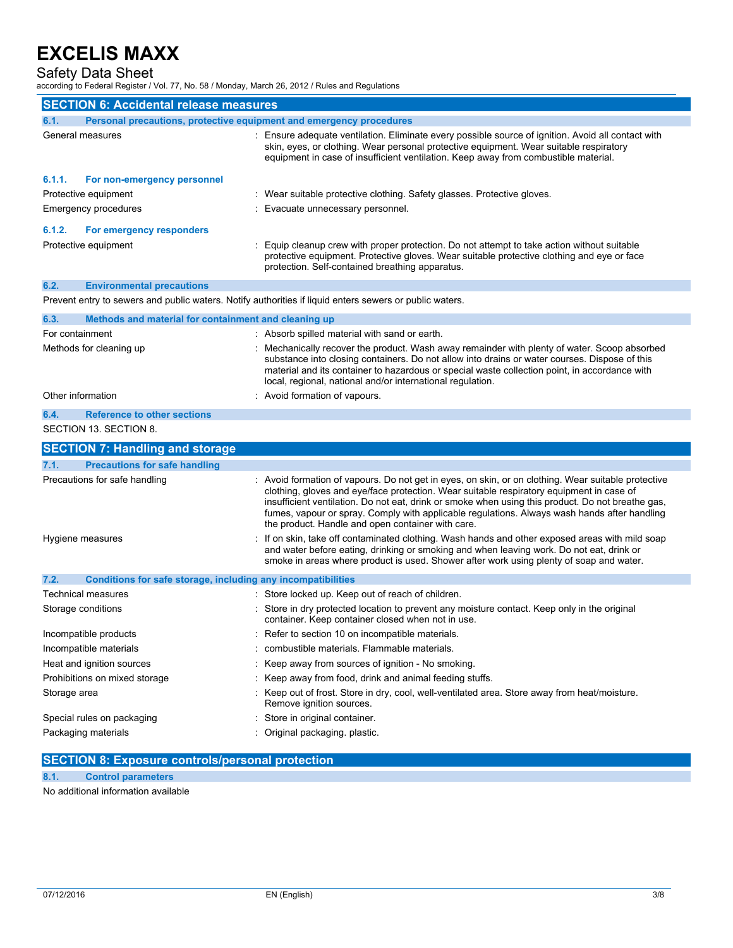## Safety Data Sheet

according to Federal Register / Vol. 77, No. 58 / Monday, March 26, 2012 / Rules and Regulations

| <b>SECTION 6: Accidental release measures</b>                                                           |                                                                                                                                                                                                                                                                                                                                                                                                                                                           |  |  |
|---------------------------------------------------------------------------------------------------------|-----------------------------------------------------------------------------------------------------------------------------------------------------------------------------------------------------------------------------------------------------------------------------------------------------------------------------------------------------------------------------------------------------------------------------------------------------------|--|--|
| Personal precautions, protective equipment and emergency procedures<br>6.1.                             |                                                                                                                                                                                                                                                                                                                                                                                                                                                           |  |  |
| General measures                                                                                        | : Ensure adequate ventilation. Eliminate every possible source of ignition. Avoid all contact with<br>skin, eyes, or clothing. Wear personal protective equipment. Wear suitable respiratory<br>equipment in case of insufficient ventilation. Keep away from combustible material.                                                                                                                                                                       |  |  |
| 6.1.1.<br>For non-emergency personnel                                                                   |                                                                                                                                                                                                                                                                                                                                                                                                                                                           |  |  |
| Protective equipment                                                                                    | : Wear suitable protective clothing. Safety glasses. Protective gloves.                                                                                                                                                                                                                                                                                                                                                                                   |  |  |
| Emergency procedures                                                                                    | : Evacuate unnecessary personnel.                                                                                                                                                                                                                                                                                                                                                                                                                         |  |  |
| 6.1.2.<br>For emergency responders                                                                      |                                                                                                                                                                                                                                                                                                                                                                                                                                                           |  |  |
| Protective equipment                                                                                    | : Equip cleanup crew with proper protection. Do not attempt to take action without suitable<br>protective equipment. Protective gloves. Wear suitable protective clothing and eye or face<br>protection. Self-contained breathing apparatus.                                                                                                                                                                                                              |  |  |
| 6.2.<br><b>Environmental precautions</b>                                                                |                                                                                                                                                                                                                                                                                                                                                                                                                                                           |  |  |
| Prevent entry to sewers and public waters. Notify authorities if liquid enters sewers or public waters. |                                                                                                                                                                                                                                                                                                                                                                                                                                                           |  |  |
| 6.3.<br>Methods and material for containment and cleaning up                                            |                                                                                                                                                                                                                                                                                                                                                                                                                                                           |  |  |
| For containment                                                                                         | : Absorb spilled material with sand or earth.                                                                                                                                                                                                                                                                                                                                                                                                             |  |  |
| Methods for cleaning up                                                                                 | Mechanically recover the product. Wash away remainder with plenty of water. Scoop absorbed<br>substance into closing containers. Do not allow into drains or water courses. Dispose of this<br>material and its container to hazardous or special waste collection point, in accordance with<br>local, regional, national and/or international regulation.                                                                                                |  |  |
| Other information                                                                                       | : Avoid formation of vapours.                                                                                                                                                                                                                                                                                                                                                                                                                             |  |  |
| 6.4.<br><b>Reference to other sections</b>                                                              |                                                                                                                                                                                                                                                                                                                                                                                                                                                           |  |  |
| SECTION 13. SECTION 8.                                                                                  |                                                                                                                                                                                                                                                                                                                                                                                                                                                           |  |  |
| <b>SECTION 7: Handling and storage</b>                                                                  |                                                                                                                                                                                                                                                                                                                                                                                                                                                           |  |  |
| 7.1.<br><b>Precautions for safe handling</b>                                                            |                                                                                                                                                                                                                                                                                                                                                                                                                                                           |  |  |
| Precautions for safe handling                                                                           | : Avoid formation of vapours. Do not get in eyes, on skin, or on clothing. Wear suitable protective<br>clothing, gloves and eye/face protection. Wear suitable respiratory equipment in case of<br>insufficient ventilation. Do not eat, drink or smoke when using this product. Do not breathe gas,<br>fumes, vapour or spray. Comply with applicable regulations. Always wash hands after handling<br>the product. Handle and open container with care. |  |  |
| Hygiene measures                                                                                        | : If on skin, take off contaminated clothing. Wash hands and other exposed areas with mild soap<br>and water before eating, drinking or smoking and when leaving work. Do not eat, drink or<br>smoke in areas where product is used. Shower after work using plenty of soap and water.                                                                                                                                                                    |  |  |
| 7.2.<br>Conditions for safe storage, including any incompatibilities                                    |                                                                                                                                                                                                                                                                                                                                                                                                                                                           |  |  |
| Technical measures                                                                                      | : Store locked up. Keep out of reach of children.                                                                                                                                                                                                                                                                                                                                                                                                         |  |  |
| Storage conditions                                                                                      | Store in dry protected location to prevent any moisture contact. Keep only in the original<br>container. Keep container closed when not in use.                                                                                                                                                                                                                                                                                                           |  |  |
| Incompatible products                                                                                   | Refer to section 10 on incompatible materials.                                                                                                                                                                                                                                                                                                                                                                                                            |  |  |
| Incompatible materials                                                                                  | combustible materials. Flammable materials.                                                                                                                                                                                                                                                                                                                                                                                                               |  |  |
| Heat and ignition sources                                                                               | Keep away from sources of ignition - No smoking.                                                                                                                                                                                                                                                                                                                                                                                                          |  |  |
| Prohibitions on mixed storage                                                                           | Keep away from food, drink and animal feeding stuffs.                                                                                                                                                                                                                                                                                                                                                                                                     |  |  |
| Storage area                                                                                            | : Keep out of frost. Store in dry, cool, well-ventilated area. Store away from heat/moisture.<br>Remove ignition sources.                                                                                                                                                                                                                                                                                                                                 |  |  |
| Special rules on packaging                                                                              | : Store in original container.                                                                                                                                                                                                                                                                                                                                                                                                                            |  |  |
| Packaging materials                                                                                     | Original packaging. plastic.                                                                                                                                                                                                                                                                                                                                                                                                                              |  |  |

## **SECTION 8: Exposure controls/personal protection**

**8.1. Control parameters**

No additional information available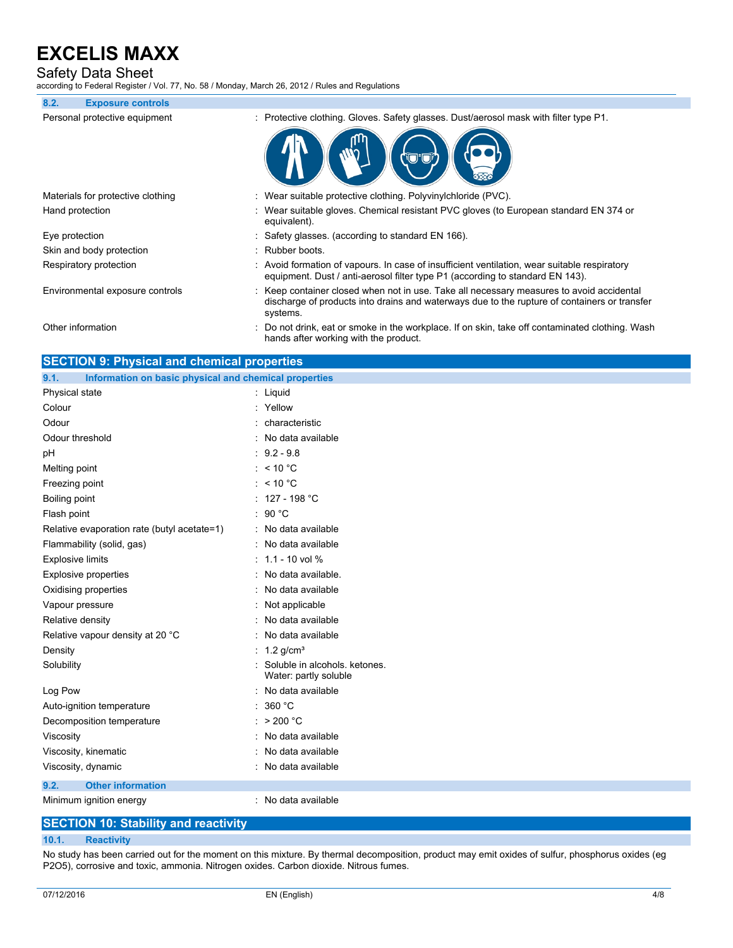## Safety Data Sheet

according to Federal Register / Vol. 77, No. 58 / Monday, March 26, 2012 / Rules and Regulations

| 8.2.           | <b>Exposure controls</b>          |                                                                                                                                                                                                      |
|----------------|-----------------------------------|------------------------------------------------------------------------------------------------------------------------------------------------------------------------------------------------------|
|                | Personal protective equipment     | : Protective clothing. Gloves. Safety glasses. Dust/aerosol mask with filter type P1.                                                                                                                |
|                |                                   |                                                                                                                                                                                                      |
|                | Materials for protective clothing | : Wear suitable protective clothing. Polyvinylchloride (PVC).                                                                                                                                        |
|                | Hand protection                   | : Wear suitable gloves. Chemical resistant PVC gloves (to European standard EN 374 or<br>equivalent).                                                                                                |
| Eye protection |                                   | : Safety glasses. (according to standard EN 166).                                                                                                                                                    |
|                | Skin and body protection          | : Rubber boots.                                                                                                                                                                                      |
|                | Respiratory protection            | : Avoid formation of vapours. In case of insufficient ventilation, wear suitable respiratory<br>equipment. Dust / anti-aerosol filter type P1 (according to standard EN 143).                        |
|                | Environmental exposure controls   | : Keep container closed when not in use. Take all necessary measures to avoid accidental<br>discharge of products into drains and waterways due to the rupture of containers or transfer<br>systems. |
|                | Other information                 | : Do not drink, eat or smoke in the workplace. If on skin, take off contaminated clothing. Wash<br>hands after working with the product.                                                             |

| <b>SECTION 9: Physical and chemical properties</b>            |                                                        |  |  |
|---------------------------------------------------------------|--------------------------------------------------------|--|--|
| Information on basic physical and chemical properties<br>9.1. |                                                        |  |  |
| Physical state                                                | $:$ Liquid                                             |  |  |
| Colour                                                        | : Yellow                                               |  |  |
| Odour                                                         | : characteristic                                       |  |  |
| Odour threshold                                               | : No data available                                    |  |  |
| рH                                                            | $: 9.2 - 9.8$                                          |  |  |
| Melting point                                                 | : $< 10 °C$                                            |  |  |
| Freezing point                                                | : $< 10 °C$                                            |  |  |
| Boiling point                                                 | : $127 - 198 °C$                                       |  |  |
| Flash point                                                   | : 90 °C                                                |  |  |
| Relative evaporation rate (butyl acetate=1)                   | : No data available                                    |  |  |
| Flammability (solid, gas)                                     | : No data available                                    |  |  |
| <b>Explosive limits</b>                                       | $: 1.1 - 10$ vol %                                     |  |  |
| <b>Explosive properties</b>                                   | : No data available.                                   |  |  |
| Oxidising properties                                          | : No data available                                    |  |  |
| Vapour pressure                                               | : Not applicable                                       |  |  |
| Relative density                                              | : No data available                                    |  |  |
| Relative vapour density at 20 °C                              | : No data available                                    |  |  |
| Density                                                       | : $1.2$ g/cm <sup>3</sup>                              |  |  |
| Solubility                                                    | Soluble in alcohols, ketones.<br>Water: partly soluble |  |  |
| Log Pow                                                       | : No data available                                    |  |  |
| Auto-ignition temperature                                     | : 360 °C                                               |  |  |
| Decomposition temperature                                     | : $> 200 °C$                                           |  |  |
| Viscosity                                                     | : No data available                                    |  |  |
| Viscosity, kinematic                                          | : No data available                                    |  |  |
| Viscosity, dynamic                                            | : No data available                                    |  |  |
| <b>Other information</b><br>9.2.                              |                                                        |  |  |
| Minimum ignition energy                                       | : No data available                                    |  |  |

# **SECTION 10: Stability and reactivity**

#### **10.1. Reactivity**

No study has been carried out for the moment on this mixture. By thermal decomposition, product may emit oxides of sulfur, phosphorus oxides (eg P2O5), corrosive and toxic, ammonia. Nitrogen oxides. Carbon dioxide. Nitrous fumes.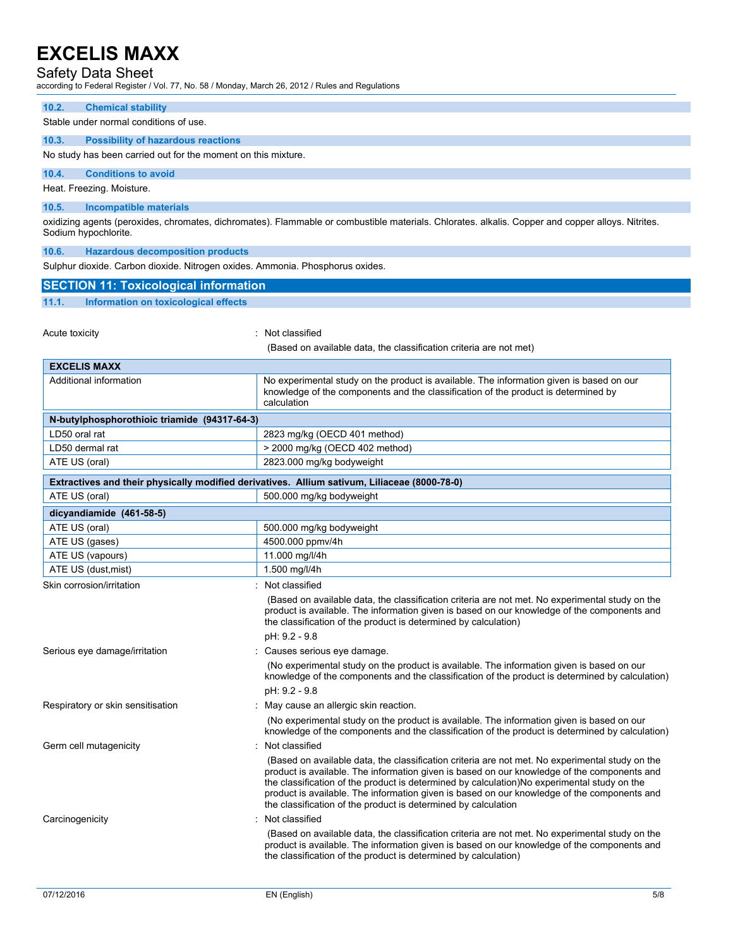## Safety Data Sheet

according to Federal Register / Vol. 77, No. 58 / Monday, March 26, 2012 / Rules and Regulations

#### **10.2. Chemical stability**

#### Stable under normal conditions of use.

### **10.3. Possibility of hazardous reactions**

No study has been carried out for the moment on this mixture.

### **10.4. Conditions to avoid**

Heat. Freezing. Moisture.

#### **10.5. Incompatible materials**

oxidizing agents (peroxides, chromates, dichromates). Flammable or combustible materials. Chlorates. alkalis. Copper and copper alloys. Nitrites. Sodium hypochlorite.

**10.6. Hazardous decomposition products**

| Sulphur dioxide. Carbon dioxide. Nitrogen oxides. Ammonia. Phosphorus oxides.                |                                                                                                                                                                                                                                                                                                                                                                                                                                                                |  |
|----------------------------------------------------------------------------------------------|----------------------------------------------------------------------------------------------------------------------------------------------------------------------------------------------------------------------------------------------------------------------------------------------------------------------------------------------------------------------------------------------------------------------------------------------------------------|--|
| <b>SECTION 11: Toxicological information</b>                                                 |                                                                                                                                                                                                                                                                                                                                                                                                                                                                |  |
| 11.1.<br>Information on toxicological effects                                                |                                                                                                                                                                                                                                                                                                                                                                                                                                                                |  |
|                                                                                              |                                                                                                                                                                                                                                                                                                                                                                                                                                                                |  |
| Acute toxicity                                                                               | : Not classified                                                                                                                                                                                                                                                                                                                                                                                                                                               |  |
|                                                                                              | (Based on available data, the classification criteria are not met)                                                                                                                                                                                                                                                                                                                                                                                             |  |
| <b>EXCELIS MAXX</b>                                                                          |                                                                                                                                                                                                                                                                                                                                                                                                                                                                |  |
| Additional information                                                                       | No experimental study on the product is available. The information given is based on our<br>knowledge of the components and the classification of the product is determined by<br>calculation                                                                                                                                                                                                                                                                  |  |
| N-butylphosphorothioic triamide (94317-64-3)                                                 |                                                                                                                                                                                                                                                                                                                                                                                                                                                                |  |
| LD50 oral rat                                                                                | 2823 mg/kg (OECD 401 method)                                                                                                                                                                                                                                                                                                                                                                                                                                   |  |
| LD50 dermal rat                                                                              | > 2000 mg/kg (OECD 402 method)                                                                                                                                                                                                                                                                                                                                                                                                                                 |  |
| ATE US (oral)                                                                                | 2823.000 mg/kg bodyweight                                                                                                                                                                                                                                                                                                                                                                                                                                      |  |
| Extractives and their physically modified derivatives. Allium sativum, Liliaceae (8000-78-0) |                                                                                                                                                                                                                                                                                                                                                                                                                                                                |  |
| ATE US (oral)                                                                                | 500.000 mg/kg bodyweight                                                                                                                                                                                                                                                                                                                                                                                                                                       |  |
| dicyandiamide (461-58-5)                                                                     |                                                                                                                                                                                                                                                                                                                                                                                                                                                                |  |
| ATE US (oral)                                                                                | 500.000 mg/kg bodyweight                                                                                                                                                                                                                                                                                                                                                                                                                                       |  |
| ATE US (gases)                                                                               | 4500.000 ppmv/4h                                                                                                                                                                                                                                                                                                                                                                                                                                               |  |
| ATE US (vapours)                                                                             | 11.000 mg/l/4h                                                                                                                                                                                                                                                                                                                                                                                                                                                 |  |
| ATE US (dust, mist)                                                                          | 1.500 mg/l/4h                                                                                                                                                                                                                                                                                                                                                                                                                                                  |  |
| Skin corrosion/irritation                                                                    | : Not classified                                                                                                                                                                                                                                                                                                                                                                                                                                               |  |
|                                                                                              | (Based on available data, the classification criteria are not met. No experimental study on the<br>product is available. The information given is based on our knowledge of the components and<br>the classification of the product is determined by calculation)                                                                                                                                                                                              |  |
|                                                                                              | pH: 9.2 - 9.8                                                                                                                                                                                                                                                                                                                                                                                                                                                  |  |
| Serious eye damage/irritation                                                                | : Causes serious eye damage.<br>(No experimental study on the product is available. The information given is based on our<br>knowledge of the components and the classification of the product is determined by calculation)                                                                                                                                                                                                                                   |  |
|                                                                                              | pH: 9.2 - 9.8                                                                                                                                                                                                                                                                                                                                                                                                                                                  |  |
| Respiratory or skin sensitisation                                                            | May cause an allergic skin reaction.                                                                                                                                                                                                                                                                                                                                                                                                                           |  |
|                                                                                              | (No experimental study on the product is available. The information given is based on our<br>knowledge of the components and the classification of the product is determined by calculation)                                                                                                                                                                                                                                                                   |  |
| Germ cell mutagenicity                                                                       | Not classified                                                                                                                                                                                                                                                                                                                                                                                                                                                 |  |
|                                                                                              | (Based on available data, the classification criteria are not met. No experimental study on the<br>product is available. The information given is based on our knowledge of the components and<br>the classification of the product is determined by calculation)No experimental study on the<br>product is available. The information given is based on our knowledge of the components and<br>the classification of the product is determined by calculation |  |
| Carcinogenicity                                                                              | : Not classified                                                                                                                                                                                                                                                                                                                                                                                                                                               |  |
|                                                                                              | (Based on available data, the classification criteria are not met. No experimental study on the<br>product is available. The information given is based on our knowledge of the components and<br>the classification of the product is determined by calculation)                                                                                                                                                                                              |  |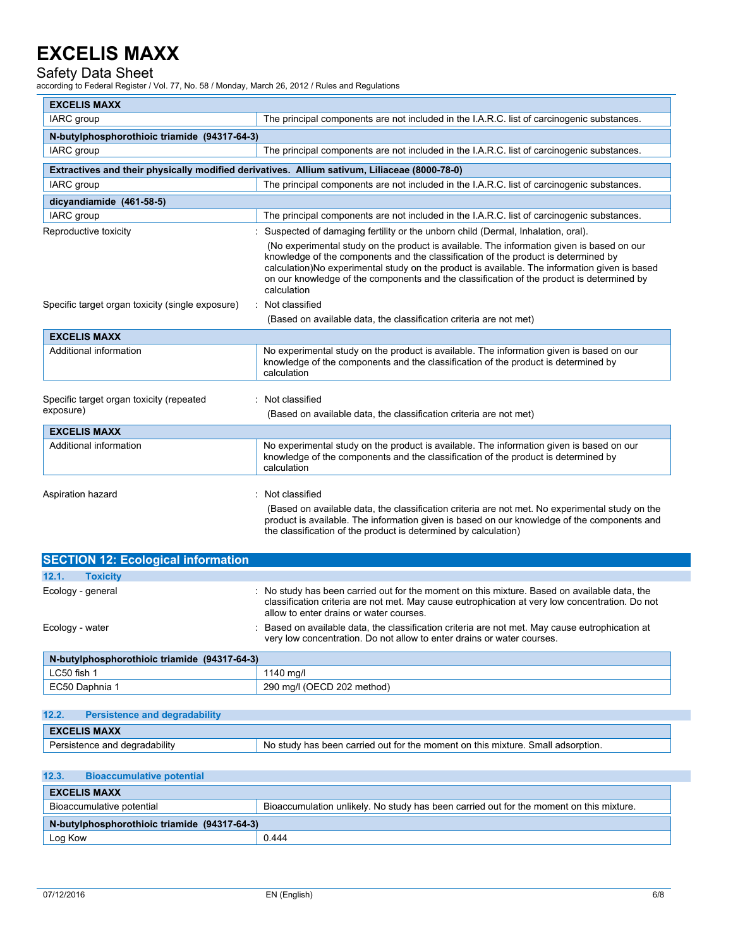## Safety Data Sheet

according to Federal Register / Vol. 77, No. 58 / Monday, March 26, 2012 / Rules and Regulations

| <b>EXCELIS MAXX</b>                                        |                                                                                                                                                                                                                                                                                                                                                                                              |  |
|------------------------------------------------------------|----------------------------------------------------------------------------------------------------------------------------------------------------------------------------------------------------------------------------------------------------------------------------------------------------------------------------------------------------------------------------------------------|--|
| IARC group                                                 | The principal components are not included in the I.A.R.C. list of carcinogenic substances.                                                                                                                                                                                                                                                                                                   |  |
| N-butylphosphorothioic triamide (94317-64-3)               |                                                                                                                                                                                                                                                                                                                                                                                              |  |
| IARC group                                                 | The principal components are not included in the I.A.R.C. list of carcinogenic substances.                                                                                                                                                                                                                                                                                                   |  |
|                                                            | Extractives and their physically modified derivatives. Allium sativum, Liliaceae (8000-78-0)                                                                                                                                                                                                                                                                                                 |  |
| IARC group                                                 | The principal components are not included in the I.A.R.C. list of carcinogenic substances.                                                                                                                                                                                                                                                                                                   |  |
| dicyandiamide (461-58-5)                                   |                                                                                                                                                                                                                                                                                                                                                                                              |  |
| <b>IARC</b> group                                          | The principal components are not included in the I.A.R.C. list of carcinogenic substances.                                                                                                                                                                                                                                                                                                   |  |
| Reproductive toxicity                                      | Suspected of damaging fertility or the unborn child (Dermal, Inhalation, oral).                                                                                                                                                                                                                                                                                                              |  |
|                                                            | (No experimental study on the product is available. The information given is based on our<br>knowledge of the components and the classification of the product is determined by<br>calculation)No experimental study on the product is available. The information given is based<br>on our knowledge of the components and the classification of the product is determined by<br>calculation |  |
| Specific target organ toxicity (single exposure)           | Not classified                                                                                                                                                                                                                                                                                                                                                                               |  |
|                                                            | (Based on available data, the classification criteria are not met)                                                                                                                                                                                                                                                                                                                           |  |
| <b>EXCELIS MAXX</b>                                        |                                                                                                                                                                                                                                                                                                                                                                                              |  |
| Additional information                                     | No experimental study on the product is available. The information given is based on our<br>knowledge of the components and the classification of the product is determined by<br>calculation                                                                                                                                                                                                |  |
| Not classified<br>Specific target organ toxicity (repeated |                                                                                                                                                                                                                                                                                                                                                                                              |  |
| exposure)                                                  | (Based on available data, the classification criteria are not met)                                                                                                                                                                                                                                                                                                                           |  |
| <b>EXCELIS MAXX</b>                                        |                                                                                                                                                                                                                                                                                                                                                                                              |  |
| Additional information                                     | No experimental study on the product is available. The information given is based on our<br>knowledge of the components and the classification of the product is determined by<br>calculation                                                                                                                                                                                                |  |
| Aspiration hazard                                          | Not classified                                                                                                                                                                                                                                                                                                                                                                               |  |
|                                                            | (Based on available data, the classification criteria are not met. No experimental study on the<br>product is available. The information given is based on our knowledge of the components and<br>the classification of the product is determined by calculation)                                                                                                                            |  |

| <b>SECTION 12: Ecological information</b> |                                                                                                                                                                                                                                          |  |  |
|-------------------------------------------|------------------------------------------------------------------------------------------------------------------------------------------------------------------------------------------------------------------------------------------|--|--|
| 12.1.<br><b>Toxicity</b>                  |                                                                                                                                                                                                                                          |  |  |
| Ecology - general                         | No study has been carried out for the moment on this mixture. Based on available data, the<br>classification criteria are not met. May cause eutrophication at very low concentration. Do not<br>allow to enter drains or water courses. |  |  |
| Ecology - water                           | Based on available data, the classification criteria are not met. May cause eutrophication at<br>very low concentration. Do not allow to enter drains or water courses.                                                                  |  |  |

| N-butylphosphorothioic triamide (94317-64-3) |                            |  |
|----------------------------------------------|----------------------------|--|
| LC50 fish า                                  | 1140 ma/l                  |  |
| EC50 Daphnia 1                               | 290 mg/l (OECD 202 method) |  |

## **12.2. Persistence and degradability**

| $\mathbf{L}$                  | <u>Felalaterice</u> and degradability                                           |  |  |
|-------------------------------|---------------------------------------------------------------------------------|--|--|
| <b>EXCELIS MAXX</b>           |                                                                                 |  |  |
| Persistence and degradability | No study has been carried out for the moment on this mixture. Small adsorption. |  |  |

## **12.3. Bioaccumulative potential**

| <b>EXCELIS MAXX</b>                                                                                                  |       |  |  |
|----------------------------------------------------------------------------------------------------------------------|-------|--|--|
| Bioaccumulative potential<br>Bioaccumulation unlikely. No study has been carried out for the moment on this mixture. |       |  |  |
| N-butylphosphorothioic triamide (94317-64-3)                                                                         |       |  |  |
| Log Kow                                                                                                              | 0.444 |  |  |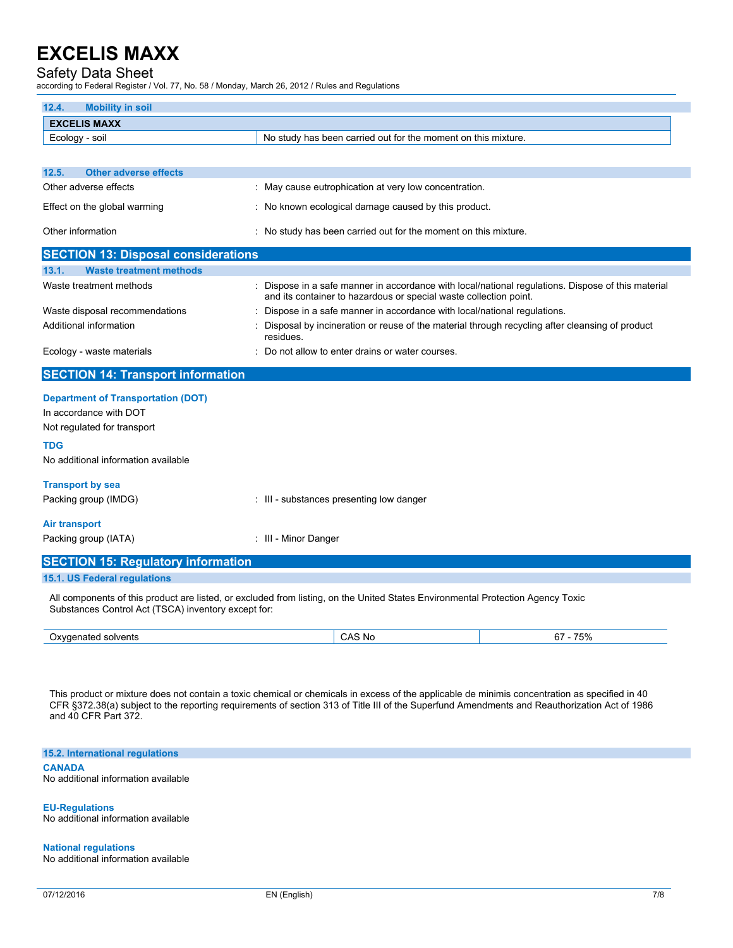# Safety Data Sheet

according to Federal Register / Vol. 77, No. 58 / Monday, March 26, 2012 / Rules and Regulations

| 12.4.<br><b>Mobility in soil</b>                    |                                                                                                                                 |                                                                                                    |
|-----------------------------------------------------|---------------------------------------------------------------------------------------------------------------------------------|----------------------------------------------------------------------------------------------------|
| <b>EXCELIS MAXX</b>                                 |                                                                                                                                 |                                                                                                    |
| Ecology - soil                                      | No study has been carried out for the moment on this mixture.                                                                   |                                                                                                    |
|                                                     |                                                                                                                                 |                                                                                                    |
| 12.5.<br><b>Other adverse effects</b>               |                                                                                                                                 |                                                                                                    |
| Other adverse effects                               | : May cause eutrophication at very low concentration.                                                                           |                                                                                                    |
| Effect on the global warming                        | : No known ecological damage caused by this product.                                                                            |                                                                                                    |
| Other information                                   |                                                                                                                                 |                                                                                                    |
|                                                     | : No study has been carried out for the moment on this mixture.                                                                 |                                                                                                    |
| <b>SECTION 13: Disposal considerations</b>          |                                                                                                                                 |                                                                                                    |
| <b>Waste treatment methods</b><br>13.1.             |                                                                                                                                 |                                                                                                    |
| Waste treatment methods                             | and its container to hazardous or special waste collection point.                                                               | : Dispose in a safe manner in accordance with local/national regulations. Dispose of this material |
| Waste disposal recommendations                      | Dispose in a safe manner in accordance with local/national regulations.                                                         |                                                                                                    |
| Additional information                              | Disposal by incineration or reuse of the material through recycling after cleansing of product<br>residues.                     |                                                                                                    |
| Ecology - waste materials                           | Do not allow to enter drains or water courses.                                                                                  |                                                                                                    |
| <b>SECTION 14: Transport information</b>            |                                                                                                                                 |                                                                                                    |
| <b>Department of Transportation (DOT)</b>           |                                                                                                                                 |                                                                                                    |
| In accordance with DOT                              |                                                                                                                                 |                                                                                                    |
| Not regulated for transport                         |                                                                                                                                 |                                                                                                    |
| <b>TDG</b>                                          |                                                                                                                                 |                                                                                                    |
| No additional information available                 |                                                                                                                                 |                                                                                                    |
| <b>Transport by sea</b>                             |                                                                                                                                 |                                                                                                    |
| Packing group (IMDG)                                | : III - substances presenting low danger                                                                                        |                                                                                                    |
|                                                     |                                                                                                                                 |                                                                                                    |
| <b>Air transport</b>                                |                                                                                                                                 |                                                                                                    |
| Packing group (IATA)                                | : III - Minor Danger                                                                                                            |                                                                                                    |
| <b>SECTION 15: Regulatory information</b>           |                                                                                                                                 |                                                                                                    |
| 15.1. US Federal regulations                        |                                                                                                                                 |                                                                                                    |
| Substances Control Act (TSCA) inventory except for: | All components of this product are listed, or excluded from listing, on the United States Environmental Protection Agency Toxic |                                                                                                    |
| Oxygenated solvents                                 | CAS No                                                                                                                          | $67 - 75%$                                                                                         |

This product or mixture does not contain a toxic chemical or chemicals in excess of the applicable de minimis concentration as specified in 40 CFR §372.38(a) subject to the reporting requirements of section 313 of Title III of the Superfund Amendments and Reauthorization Act of 1986 and 40 CFR Part 372.

**15.2. International regulations CANADA**

No additional information available

**EU-Regulations** No additional information available

**National regulations** No additional information available